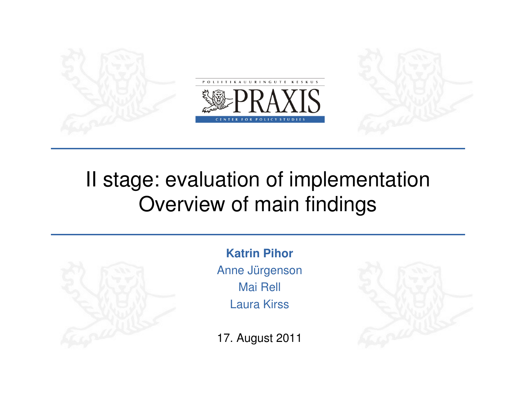

# II stage: evaluation of implementationOverview of main findings



**Katrin Pihor** Anne JürgensonMai Rell Laura Kirss

17. August 2011

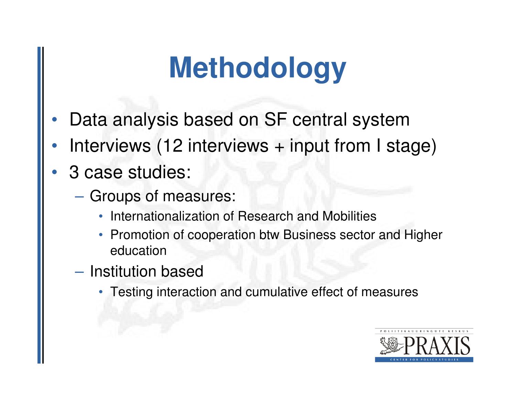# **Methodology**

- •Data analysis based on SF central system
- •Interviews (12 interviews + input from I stage)
- • 3 case studies:
	- $\mathcal{L}_{\mathcal{A}}$ - Groups of measures:
		- •Internationalization of Research and Mobilities
		- Promotion of cooperation btw Business sector and Higher education
	- $\mathcal{L}_{\mathcal{A}}$  , and the set of the set of the set of the set of the set of the set of the set of the set of the set of the set of the set of the set of the set of the set of the set of the set of the set of the set of th  $-$  Institution based
		- Testing interaction and cumulative effect of measures

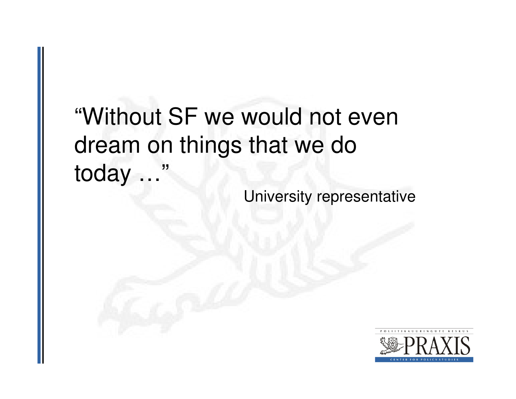"Without SF we would not even dream on things that we do today …"

University representative

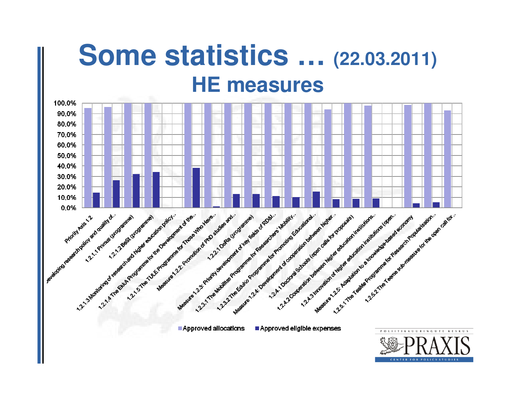### **Some statistics … (22.03.2011) HE measures**

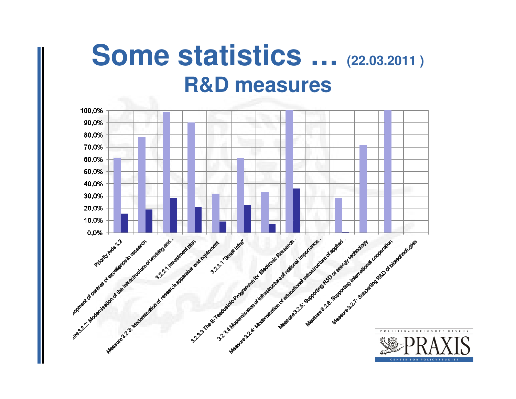## **Some statistics … (22.03.2011 ) R&D measures**

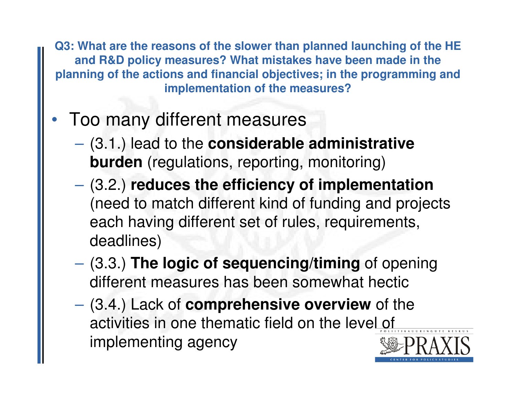**Q3: What are the reasons of the slower than planned launching of the HE and R&D policy measures? What mistakes have been made in the planning of the actions and financial objectives; in the programming and implementation of the measures?**

- • Too many different measures
	- $\mathcal{L}_{\mathcal{A}}$  , and the set of the set of the set of the set of the set of the set of the set of the set of the set of the set of the set of the set of the set of the set of the set of the set of the set of the set of th (3.1.) lead to the **considerable administrative burden** (regulations, reporting, monitoring)
	- $\mathcal{L}_{\mathcal{A}}$  (3.2.) **reduces the efficiency of implementation** (need to match different kind of funding and projects each having different set of rules, requirements, deadlines)
	- $\mathcal{L}_{\mathcal{A}}$  (3.3.) **The logic of sequencing/timing** of opening different measures has been somewhat hectic
	- – (3.4.) Lack of **comprehensive overview** of the activities in one thematic field on the level of implementing agency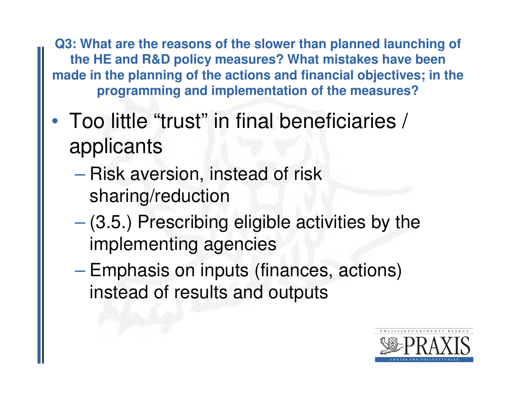**Q3: What are the reasons of the slower than planned launching of the HE and R&D policy measures? What mistakes have been made in the planning of the actions and financial objectives; in the programming and implementation of the measures?**

- •• Too little "trust" in final beneficiaries / applicants
	- $\mathcal{L}_{\mathcal{A}}$  , and the set of the set of the set of the set of the set of the set of the set of the set of the set of the set of the set of the set of the set of the set of the set of the set of the set of the set of th - Risk aversion, instead of risk sharing/reduction
	- $\mathcal{L}_{\mathcal{A}}$  , and the set of the set of the set of the set of the set of the set of the set of the set of the set of the set of the set of the set of the set of the set of the set of the set of the set of the set of th (3.5.) Prescribing eligible activities by the implementing agencies
	- $\mathcal{L}_{\mathcal{A}}$  , and the set of the set of the set of the set of the set of the set of the set of the set of the set of the set of the set of the set of the set of the set of the set of the set of the set of the set of th Emphasis on inputs (finances, actions) instead of results and outputs

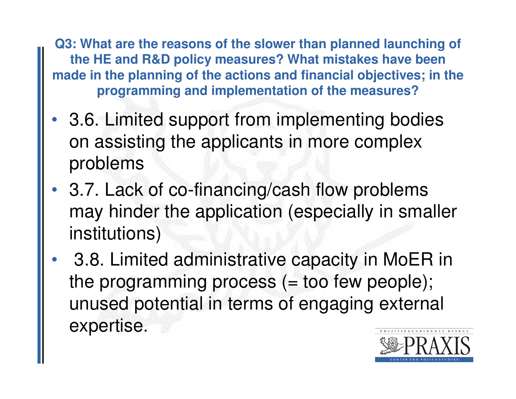**Q3: What are the reasons of the slower than planned launching of the HE and R&D policy measures? What mistakes have been made in the planning of the actions and financial objectives; in the programming and implementation of the measures?**

- • 3.6. Limited support from implementing bodies on assisting the applicants in more complex problems
- 3.7. Lack of co-financing/cash flow problems may hinder the application (especially in smaller institutions)
- •• 3.8. Limited administrative capacity in MoER in the programming process  $(=$  too few people); unused potential in terms of engaging external expertise.

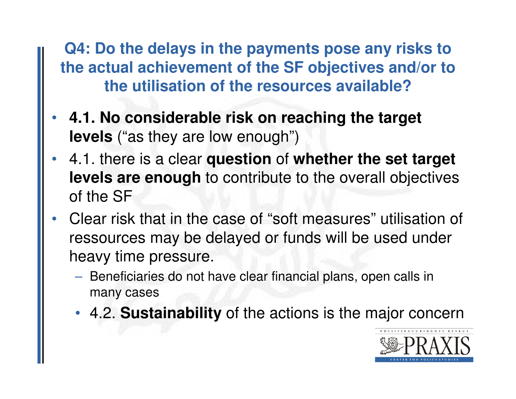**Q4: Do the delays in the payments pose any risks to the actual achievement of the SF objectives and/or to the utilisation of the resources available?**

- • **4.1. No considerable risk on reaching the target levels** ("as they are low enough")
- • 4.1. there is a clear **question** of **whether the set target levels are enough** to contribute to the overall objectives of the SF
- • Clear risk that in the case of "soft measures" utilisation of ressources may be delayed or funds will be used under heavy time pressure.
	- **Hart Communication**  $-$  Beneficiaries do not have clear financial plans, open calls in many cases
	- 4.2. **Sustainability** of the actions is the major concern

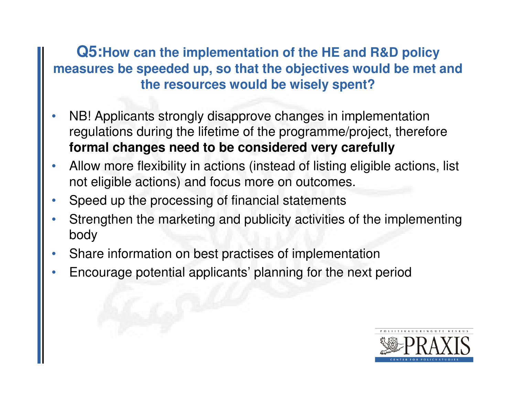#### **Q5:How can the implementation of the HE and R&D policy measures be speeded up, so that the objectives would be met and the resources would be wisely spent?**

- • NB! Applicants strongly disapprove changes in implementation regulations during the lifetime of the programme/project, therefore**formal changes need to be considered very carefully**
- • Allow more flexibility in actions (instead of listing eligible actions, list not eligible actions) and focus more on outcomes.
- •Speed up the processing of financial statements
- • Strengthen the marketing and publicity activities of the implementing body
- •Share information on best practises of implementation
- •Encourage potential applicants' planning for the next period

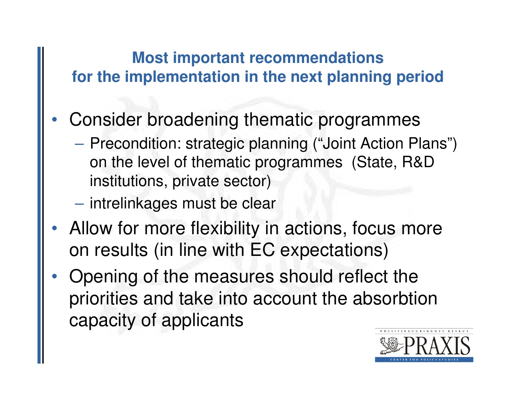## **Most important recommendations for the implementation in the next planning period**

- • Consider broadening thematic programmes
	- $\mathcal{L}_{\mathcal{A}}$  , and the set of the set of the set of the set of the set of the set of the set of the set of the set of the set of the set of the set of the set of the set of the set of the set of the set of the set of th - Precondition: strategic planning ("Joint Action Plans") on the level of thematic programmes (State, R&D institutions, private sector)
	- $\mathcal{L}_{\mathcal{A}}$  $-$  intrelinkages must be clear
- • Allow for more flexibility in actions, focus more on results (in line with EC expectations)
- • Opening of the measures should reflect the priorities and take into account the absorbtioncapacity of applicants